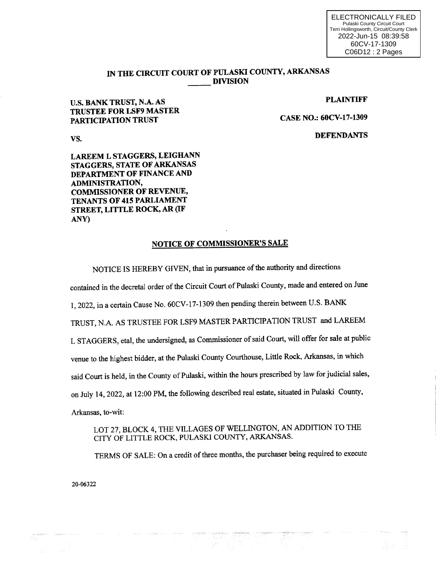ELECTRONICALLY FILED Pulaski County Circuit Court Terri Hollingsworth, Circuit/County Clerk 2022-Jun-15 08:39:58 60CV-17-1309 C06D12 : 2 Pages

## IN THE CIRCUIT COURT OF PULASKI COUNTY, ARKANSAS **DIVISION**

## PLAINTIFF

CASE NO.: 60CV-17-1309

**DEFENDANTS** 

vs.

LAREEM L STAGGERS, LEIGHANN STAGGERS, STATE OF ARKANSAS DEPARTMENT OF FINANCE AND ADMINISTRATION, COMMISSIONER OF REVENUE, TENANTS OF 415 PARLIAMENT STREET, LITTLE ROCK, AR (IF ANY)

u.s. BANK TRUST, N.A. AS TRUSTEE FOR LSF9 MASTER

PARTICIPATION TRUST

## NOTICE OF COMMISSIONER'S SALE

NOTICE IS HEREBY GIVEN, that in pursuance of the authority and directions

contained in the decretal order of the Circuit Court of Pulaski County, made and entered on June

1, 2022, in a certain Cause No. 60CV-17-1309 then pending therein between U.S. BANK

TRUST, N.A. AS TRUSTEE FOR LSF9 MASTER PARTICIPATION TRUST and LAREEM

L STAGGERS, etal, the undersigned, as Commissioner of said Court, will offer for sale at public

venue to the highest bidder, at the Pulaski County Courthouse, Little Rock, Arkansas, in which

said Court is held, in the County of Pulaski, within the hours prescribed by law for judicial sales,

on July 14, 2022, at 12:00 PM, the following described real estate, situated in Pulaski County,

Arkansas, to-wit:

LOT 27, BLOCK 4, THE VILLAGES OF WELLINGTON, AN ADDITION TO THE CITY OF LITTLE ROCK, PULASKI COUNTY, ARKANSAS.

TERMS OF SALE: On a credit of three months, the purchaser being required to execute

20-06322